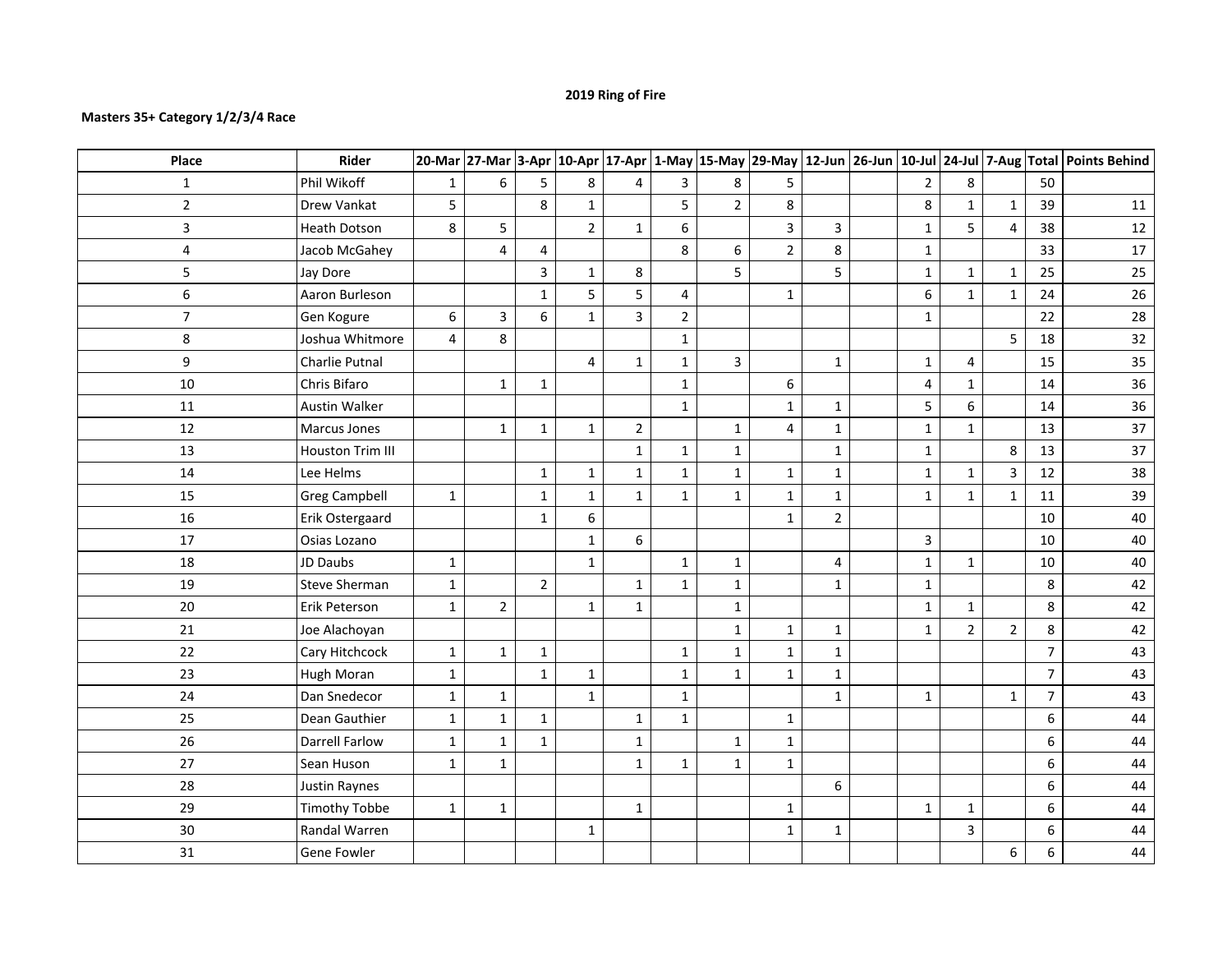## **2019 Ring of Fire**

## **Masters 35+ Category 1/2/3/4 Race**

| Place          | Rider                 |              |                         |                |                |                |                         |                |                         |                |                |                         |                         |                | 20-Mar 27-Mar 3-Apr 10-Apr 17-Apr 1-May 15-May 29-May 12-Jun 26-Jun 10-Jul 24-Jul 7-Aug Total Points Behind |
|----------------|-----------------------|--------------|-------------------------|----------------|----------------|----------------|-------------------------|----------------|-------------------------|----------------|----------------|-------------------------|-------------------------|----------------|-------------------------------------------------------------------------------------------------------------|
| $\mathbf{1}$   | Phil Wikoff           | $\mathbf 1$  | 6                       | 5              | 8              | 4              | $\overline{\mathbf{3}}$ | 8              | 5                       |                | $\overline{2}$ | 8                       |                         | 50             |                                                                                                             |
| $\overline{2}$ | Drew Vankat           | 5            |                         | 8              | $\mathbf{1}$   |                | 5                       | $\overline{2}$ | $\bf 8$                 |                | 8              | $\mathbf{1}$            | $\mathbf{1}$            | 39             | 11                                                                                                          |
| 3              | Heath Dotson          | 8            | 5                       |                | $\overline{2}$ | $\mathbf 1$    | 6                       |                | $\overline{\mathbf{3}}$ | 3              | $\mathbf{1}$   | 5                       | $\overline{\mathbf{4}}$ | 38             | $12\,$                                                                                                      |
| 4              | Jacob McGahey         |              | $\overline{\mathbf{4}}$ | $\overline{4}$ |                |                | 8                       | 6              | $\overline{2}$          | 8              | $\mathbf{1}$   |                         |                         | 33             | 17                                                                                                          |
| 5              | Jay Dore              |              |                         | 3              | $\mathbf{1}$   | $\bf 8$        |                         | 5              |                         | 5              | $\mathbf{1}$   | $\mathbf{1}$            | $\mathbf{1}$            | 25             | 25                                                                                                          |
| 6              | Aaron Burleson        |              |                         | $\mathbf{1}$   | 5              | 5              | 4                       |                | $\mathbf{1}$            |                | 6              | $\mathbf{1}$            | $\mathbf{1}$            | 24             | 26                                                                                                          |
| $\overline{7}$ | Gen Kogure            | 6            | $\overline{\mathbf{3}}$ | 6              | $\mathbf{1}$   | $\overline{3}$ | $\overline{2}$          |                |                         |                | $\mathbf{1}$   |                         |                         | 22             | 28                                                                                                          |
| 8              | Joshua Whitmore       | 4            | 8                       |                |                |                | $\mathbf 1$             |                |                         |                |                |                         | 5                       | 18             | 32                                                                                                          |
| 9              | Charlie Putnal        |              |                         |                | $\overline{4}$ | $\mathbf{1}$   | $\mathbf 1$             | 3              |                         | $\mathbf{1}$   | $\mathbf{1}$   | $\overline{\mathbf{4}}$ |                         | 15             | 35                                                                                                          |
| 10             | Chris Bifaro          |              | $\mathbf 1$             | $\mathbf{1}$   |                |                | $\mathbf 1$             |                | 6                       |                | 4              | $\mathbf{1}$            |                         | 14             | 36                                                                                                          |
| 11             | <b>Austin Walker</b>  |              |                         |                |                |                | $\mathbf{1}$            |                | $\mathbf 1$             | $\mathbf{1}$   | 5              | $6\overline{6}$         |                         | 14             | 36                                                                                                          |
| 12             | Marcus Jones          |              | $\mathbf{1}$            | $\mathbf{1}$   | $\mathbf{1}$   | $\overline{2}$ |                         | $\mathbf{1}$   | 4                       | $\mathbf{1}$   | $\mathbf{1}$   | $\mathbf{1}$            |                         | 13             | 37                                                                                                          |
| 13             | Houston Trim III      |              |                         |                |                | $\mathbf{1}$   | $\mathbf{1}$            | $\mathbf{1}$   |                         | $\mathbf{1}$   | $\mathbf{1}$   |                         | $\,8\,$                 | 13             | 37                                                                                                          |
| 14             | Lee Helms             |              |                         | $\mathbf{1}$   | $\mathbf{1}$   | $\mathbf{1}$   | $\mathbf{1}$            | $\mathbf{1}$   | $\mathbf 1$             | $\mathbf{1}$   | $\mathbf{1}$   | $\mathbf{1}$            | 3                       | 12             | 38                                                                                                          |
| 15             | <b>Greg Campbell</b>  | $\mathbf{1}$ |                         | $\mathbf 1$    | $\mathbf{1}$   | $\mathbf{1}$   | $\mathbf{1}$            | $\mathbf{1}$   | $\mathbf{1}$            | $\mathbf{1}$   | $\mathbf{1}$   | $\mathbf{1}$            | $\mathbf{1}$            | 11             | 39                                                                                                          |
| 16             | Erik Ostergaard       |              |                         | $\mathbf{1}$   | 6              |                |                         |                | $\mathbf{1}$            | $\overline{2}$ |                |                         |                         | 10             | 40                                                                                                          |
| 17             | Osias Lozano          |              |                         |                | $\mathbf{1}$   | 6              |                         |                |                         |                | $\overline{3}$ |                         |                         | 10             | 40                                                                                                          |
| 18             | JD Daubs              | $\mathbf 1$  |                         |                | $\mathbf{1}$   |                | $\mathbf{1}$            | $\mathbf{1}$   |                         | 4              | $\mathbf{1}$   | $\mathbf{1}$            |                         | 10             | 40                                                                                                          |
| 19             | Steve Sherman         | $\mathbf 1$  |                         | $\overline{2}$ |                | $\mathbf{1}$   | $\mathbf 1$             | $\mathbf{1}$   |                         | $\mathbf{1}$   | $\mathbf{1}$   |                         |                         | 8              | 42                                                                                                          |
| $20\,$         | Erik Peterson         | $\mathbf 1$  | $\overline{2}$          |                | $\mathbf{1}$   | $\mathbf{1}$   |                         | $\mathbf 1$    |                         |                | $\mathbf{1}$   | $\mathbf 1$             |                         | 8              | 42                                                                                                          |
| 21             | Joe Alachoyan         |              |                         |                |                |                |                         | $\mathbf{1}$   | $\mathbf 1$             | $\mathbf{1}$   | $\mathbf{1}$   | $\overline{2}$          | $\mathbf 2$             | 8              | 42                                                                                                          |
| 22             | Cary Hitchcock        | $\mathbf 1$  | $\mathbf 1$             | $\mathbf{1}$   |                |                | $\mathbf 1$             | $\mathbf{1}$   | $\mathbf{1}$            | $\mathbf{1}$   |                |                         |                         | $\overline{7}$ | 43                                                                                                          |
| 23             | Hugh Moran            | $\mathbf 1$  |                         | $\mathbf{1}$   | $\mathbf 1$    |                | $\mathbf{1}$            | $1\,$          | $\mathbf{1}$            | $\mathbf{1}$   |                |                         |                         | $\overline{7}$ | 43                                                                                                          |
| 24             | Dan Snedecor          | $\mathbf 1$  | $\mathbf{1}$            |                | $\mathbf{1}$   |                | $\mathbf 1$             |                |                         | $\mathbf{1}$   | $\mathbf{1}$   |                         | $\mathbf{1}$            | $\overline{7}$ | 43                                                                                                          |
| 25             | Dean Gauthier         | $\mathbf 1$  | $\mathbf 1$             | $\mathbf{1}$   |                | $\mathbf{1}$   | $\mathbf{1}$            |                | $\mathbf{1}$            |                |                |                         |                         | 6              | 44                                                                                                          |
| 26             | <b>Darrell Farlow</b> | $\mathbf 1$  | $\mathbf 1$             | $\mathbf{1}$   |                | $\mathbf{1}$   |                         | $\mathbf{1}$   | $\mathbf 1$             |                |                |                         |                         | 6              | 44                                                                                                          |
| 27             | Sean Huson            | $\mathbf{1}$ | $\mathbf{1}$            |                |                | $\mathbf{1}$   | $\mathbf{1}$            | $\mathbf{1}$   | $\mathbf{1}$            |                |                |                         |                         | 6              | 44                                                                                                          |
| 28             | <b>Justin Raynes</b>  |              |                         |                |                |                |                         |                |                         | 6              |                |                         |                         | 6              | 44                                                                                                          |
| 29             | <b>Timothy Tobbe</b>  | $\mathbf{1}$ | $\mathbf 1$             |                |                | $\mathbf{1}$   |                         |                | $\mathbf 1$             |                | $\mathbf{1}$   | $\mathbf{1}$            |                         | 6              | 44                                                                                                          |
| 30             | Randal Warren         |              |                         |                | $\mathbf{1}$   |                |                         |                | $\mathbf 1$             | $\mathbf{1}$   |                | $\overline{\mathbf{3}}$ |                         | 6              | 44                                                                                                          |
| 31             | Gene Fowler           |              |                         |                |                |                |                         |                |                         |                |                |                         | 6                       | 6              | 44                                                                                                          |